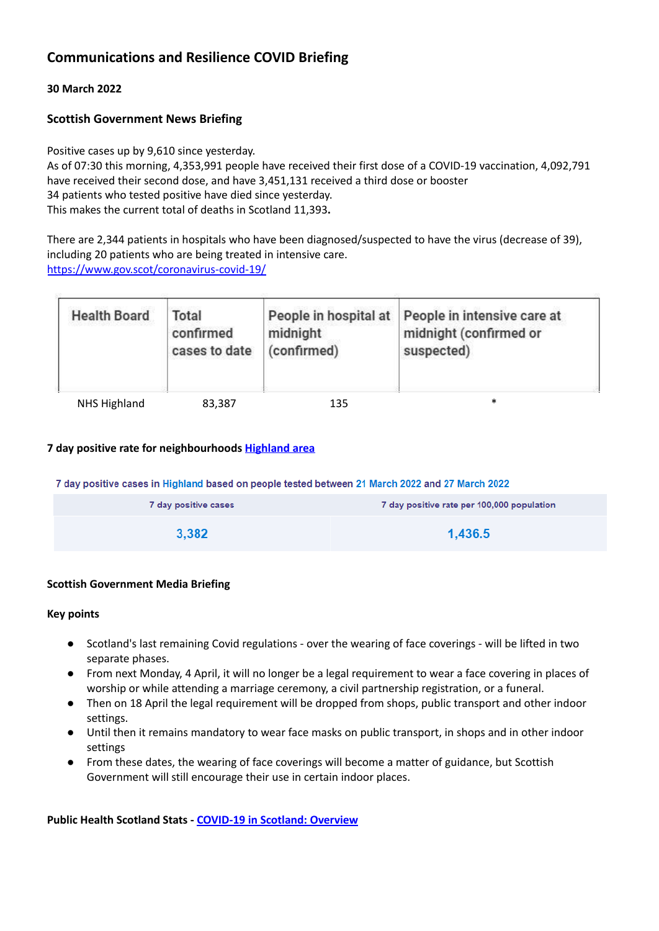# **Communications and Resilience COVID Briefing**

### **30 March 2022**

# **Scottish Government News Briefing**

Positive cases up by 9,610 since yesterday. As of 07:30 this morning, 4,353,991 people have received their first dose of a COVID-19 vaccination, 4,092,791 have received their second dose, and have 3,451,131 received a third dose or booster 34 patients who tested positive have died since yesterday. This makes the current total of deaths in Scotland 11,393**.**

There are 2,344 patients in hospitals who have been diagnosed/suspected to have the virus (decrease of 39), including 20 patients who are being treated in intensive care. <https://www.gov.scot/coronavirus-covid-19/>

| <b>Health Board</b> | Total<br>confirmed<br>cases to date | midnight<br>(confirmed) | People in hospital at People in intensive care at<br>midnight (confirmed or<br>suspected) |
|---------------------|-------------------------------------|-------------------------|-------------------------------------------------------------------------------------------|
| NHS Highland        | 83,387                              | 135                     | ∗                                                                                         |

# **7 day positive rate for neighbourhoods [Highland](https://public.tableau.com/profile/phs.covid.19#!/vizhome/COVID-19DailyDashboard_15960160643010/Overview) area**

7 day positive cases in Highland based on people tested between 21 March 2022 and 27 March 2022

| 7 day positive cases | 7 day positive rate per 100,000 population |
|----------------------|--------------------------------------------|
| 3,382                | 1,436.5                                    |

### **Scottish Government Media Briefing**

#### **Key points**

- Scotland's last remaining Covid regulations over the wearing of face coverings will be lifted in two separate phases.
- From next Monday, 4 April, it will no longer be a legal requirement to wear a face covering in places of worship or while attending a marriage ceremony, a civil partnership registration, or a funeral.
- Then on 18 April the legal requirement will be dropped from shops, public transport and other indoor settings.
- Until then it remains mandatory to wear face masks on public transport, in shops and in other indoor settings
- **●** From these dates, the wearing of face coverings will become a matter of guidance, but Scottish Government will still encourage their use in certain indoor places.

**Public Health Scotland Stats - [COVID-19](https://public.tableau.com/profile/phs.covid.19#!/vizhome/COVID-19DailyDashboard_15960160643010/Overview) in Scotland: Overview**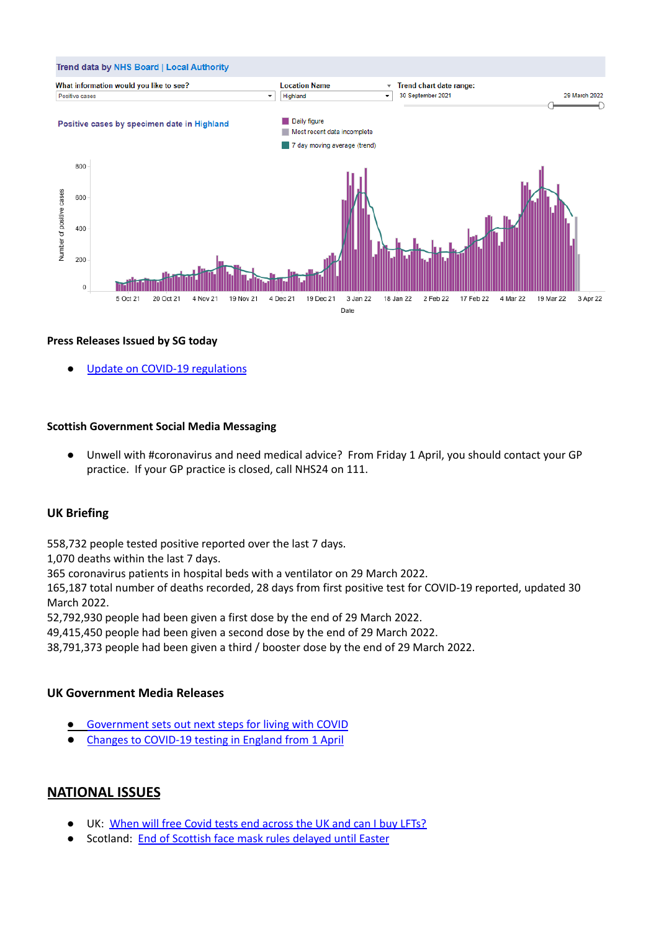

### **Press Releases Issued by SG today**

Update on COVID-19 [regulations](https://www.gov.scot/news/update-on-covid-19-regulations/)

#### **Scottish Government Social Media Messaging**

**●** Unwell with #coronavirus and need medical advice? From Friday 1 April, you should contact your GP practice. If your GP practice is closed, call NHS24 on 111.

### **UK Briefing**

558,732 people tested positive reported over the last 7 days.

1,070 deaths within the last 7 days.

365 coronavirus patients in hospital beds with a ventilator on 29 March 2022.

165,187 total number of deaths recorded, 28 days from first positive test for COVID-19 reported, updated 30 March 2022.

52,792,930 people had been given a first dose by the end of 29 March 2022.

49,415,450 people had been given a second dose by the end of 29 March 2022.

38,791,373 people had been given a third / booster dose by the end of 29 March 2022.

#### **UK Government Media Releases**

- [Government](https://www.gov.uk/government/news/government-sets-out-next-steps-for-living-with-covid) sets out next steps for living with COVID
- **●** Changes to [COVID-19](https://www.gov.uk/government/news/changes-to-covid-19-testing-in-england-from-1-april) testing in England from 1 April

# **NATIONAL ISSUES**

- UK: When will free Covid tests end [across](https://www.bbc.co.uk/news/health-51943612) the UK and can I buy LFTs?
- Scotland: End of [Scottish](https://www.bbc.co.uk/news/uk-scotland-60928806) face mask rules delayed until Easter